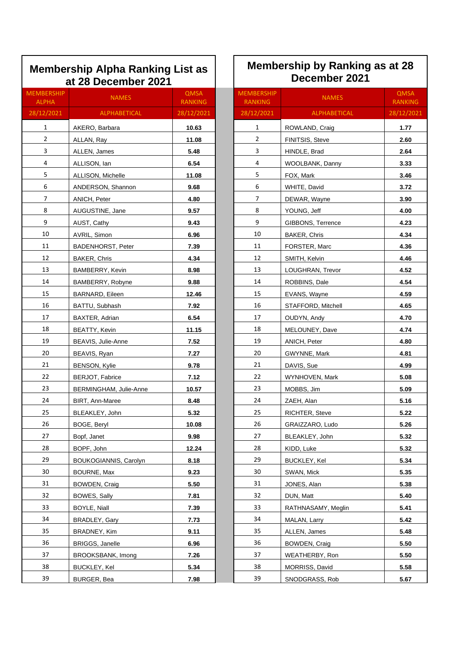## **Membership Alpha Ranking List as at 28 December 2021**

| <b>MEMBERSHIP</b><br><b>ALPHA</b> | <b>NAMES</b>             | <b>QMSA</b><br><b>RANKING</b> |
|-----------------------------------|--------------------------|-------------------------------|
| 28/12/2021                        | ALPHABETICAL             | 28/12/2021                    |
| 1                                 | AKERO, Barbara           | 10.63                         |
| 2                                 | ALLAN, Ray               | 11.08                         |
| 3                                 | ALLEN, James             | 5.48                          |
| 4                                 | ALLISON, Ian             | 6.54                          |
| 5                                 | ALLISON, Michelle        | 11.08                         |
| 6                                 | ANDERSON, Shannon        | 9.68                          |
| 7                                 | ANICH, Peter             | 4.80                          |
| 8                                 | AUGUSTINE, Jane          | 9.57                          |
| 9                                 | AUST, Cathy              | 9.43                          |
| 10                                | AVRIL, Simon             | 6.96                          |
| 11                                | <b>BADENHORST, Peter</b> | 7.39                          |
| 12                                | BAKER, Chris             | 4.34                          |
| 13                                | BAMBERRY, Kevin          | 8.98                          |
| 14                                | BAMBERRY, Robyne         | 9.88                          |
| 15                                | <b>BARNARD, Eileen</b>   | 12.46                         |
| 16                                | BATTU, Subhash           | 7.92                          |
| 17                                | BAXTER, Adrian           | 6.54                          |
| 18                                | <b>BEATTY, Kevin</b>     | 11.15                         |
| 19                                | BEAVIS, Julie-Anne       | 7.52                          |
| 20                                | BEAVIS, Ryan             | 7.27                          |
| 21                                | <b>BENSON, Kylie</b>     | 9.78                          |
| 22                                | BERJOT, Fabrice          | 7.12                          |
| 23                                | BERMINGHAM, Julie-Anne   | 10.57                         |
| 24                                | BIRT, Ann-Maree          | 8.48                          |
| 25                                | BLEAKLEY, John           | 5.32                          |
| 26                                | BOGE, Beryl              | 10.08                         |
| 27                                | Bopf, Janet              | 9.98                          |
| 28                                | BOPF, John               | 12.24                         |
| 29                                | BOUKOGIANNIS, Carolyn    | 8.18                          |
| 30                                | BOURNE, Max              | 9.23                          |
| 31                                | BOWDEN, Craig            | 5.50                          |
| 32                                | BOWES, Sally             | 7.81                          |
| 33                                | <b>BOYLE, Niall</b>      | 7.39                          |
| 34                                | BRADLEY, Gary            | 7.73                          |
| 35                                | BRADNEY, Kim             | 9.11                          |
| 36                                | <b>BRIGGS, Janelle</b>   | 6.96                          |
| 37                                | BROOKSBANK, Imong        | 7.26                          |
| 38                                | <b>BUCKLEY, Kel</b>      | 5.34                          |
| 39                                | BURGER, Bea              | 7.98                          |

## **Membership by Ranking as at 28 December 2021**

| <b>AEMBERSHIP</b><br><b>ALPHA</b> | <b>NAMES</b>             | QMSA<br><b>RANKING</b> | <b>MEMBERSHIP</b><br><b>RANKING</b> | <b>NAMES</b>       | <b>QMSA</b><br><b>RANKING</b> |
|-----------------------------------|--------------------------|------------------------|-------------------------------------|--------------------|-------------------------------|
| 28/12/2021                        | ALPHABETICAL             | 28/12/2021             | 28/12/2021                          | ALPHABETICAL       | 28/12/2021                    |
| $\mathbf{1}$                      | AKERO, Barbara           | 10.63                  | $\mathbf{1}$                        | ROWLAND, Craig     | 1.77                          |
| $\overline{2}$                    | ALLAN, Ray               | 11.08                  | $\overline{2}$                      | FINITSIS, Steve    | 2.60                          |
| 3                                 | ALLEN, James             | 5.48                   | 3                                   | HINDLE, Brad       | 2.64                          |
| 4                                 | ALLISON, Ian             | 6.54                   | 4                                   | WOOLBANK, Danny    | 3.33                          |
| 5                                 | ALLISON, Michelle        | 11.08                  | 5                                   | FOX, Mark          | 3.46                          |
| 6                                 | ANDERSON, Shannon        | 9.68                   | 6                                   | WHITE, David       | 3.72                          |
| $\overline{7}$                    | ANICH, Peter             | 4.80                   | 7                                   | DEWAR, Wayne       | 3.90                          |
| 8                                 | AUGUSTINE, Jane          | 9.57                   | 8                                   | YOUNG, Jeff        | 4.00                          |
| 9                                 | AUST, Cathy              | 9.43                   | 9                                   | GIBBONS, Terrence  | 4.23                          |
| 10                                | AVRIL, Simon             | 6.96                   | 10                                  | BAKER, Chris       | 4.34                          |
| 11                                | <b>BADENHORST, Peter</b> | 7.39                   | 11                                  | FORSTER, Marc      | 4.36                          |
| 12                                | BAKER, Chris             | 4.34                   | 12                                  | SMITH, Kelvin      | 4.46                          |
| 13                                | BAMBERRY, Kevin          | 8.98                   | 13                                  | LOUGHRAN, Trevor   | 4.52                          |
| 14                                | BAMBERRY, Robyne         | 9.88                   | 14                                  | ROBBINS, Dale      | 4.54                          |
| 15                                | BARNARD, Eileen          | 12.46                  | 15                                  | EVANS, Wayne       | 4.59                          |
| 16                                | BATTU, Subhash           | 7.92                   | 16                                  | STAFFORD, Mitchell | 4.65                          |
| 17                                | BAXTER, Adrian           | 6.54                   | 17                                  | OUDYN, Andy        | 4.70                          |
| 18                                | BEATTY, Kevin            | 11.15                  | 18                                  | MELOUNEY, Dave     | 4.74                          |
| 19                                | BEAVIS, Julie-Anne       | 7.52                   | 19                                  | ANICH, Peter       | 4.80                          |
| 20                                | BEAVIS, Ryan             | 7.27                   | 20                                  | GWYNNE, Mark       | 4.81                          |
| 21                                | <b>BENSON, Kylie</b>     | 9.78                   | 21                                  | DAVIS, Sue         | 4.99                          |
| 22                                | BERJOT, Fabrice          | 7.12                   | 22                                  | WYNHOVEN, Mark     | 5.08                          |
| 23                                | BERMINGHAM, Julie-Anne   | 10.57                  | 23                                  | MOBBS, Jim         | 5.09                          |
| 24                                | BIRT, Ann-Maree          | 8.48                   | 24                                  | ZAEH, Alan         | 5.16                          |
| 25                                | BLEAKLEY, John           | 5.32                   | 25                                  | RICHTER, Steve     | 5.22                          |
| 26                                | BOGE, Beryl              | 10.08                  | 26                                  | GRAIZZARO, Ludo    | 5.26                          |
| 27                                | Bopf, Janet              | 9.98                   | 27                                  | BLEAKLEY, John     | 5.32                          |
| 28                                | BOPF, John               | 12.24                  | 28                                  | KIDD, Luke         | 5.32                          |
| 29                                | BOUKOGIANNIS, Carolyn    | 8.18                   | 29                                  | BUCKLEY, Kel       | 5.34                          |
| 30                                | BOURNE, Max              | 9.23                   | 30                                  | SWAN, Mick         | 5.35                          |
| 31                                | BOWDEN, Craig            | 5.50                   | 31                                  | JONES, Alan        | 5.38                          |
| 32                                | BOWES, Sally             | 7.81                   | 32                                  | DUN, Matt          | 5.40                          |
| 33                                | BOYLE, Niall             | 7.39                   | 33                                  | RATHNASAMY, Meglin | 5.41                          |
| 34                                | BRADLEY, Gary            | 7.73                   | 34                                  | MALAN, Larry       | 5.42                          |
| 35                                | BRADNEY, Kim             | 9.11                   | 35                                  | ALLEN, James       | 5.48                          |
| 36                                | <b>BRIGGS, Janelle</b>   | 6.96                   | 36                                  | BOWDEN, Craig      | 5.50                          |
| 37                                | BROOKSBANK, Imong        | 7.26                   | 37                                  | WEATHERBY, Ron     | 5.50                          |
| 38                                | BUCKLEY, Kel             | 5.34                   | 38                                  | MORRISS, David     | 5.58                          |
| 39                                | BURGER, Bea              | 7.98                   | 39                                  | SNODGRASS, Rob     | 5.67                          |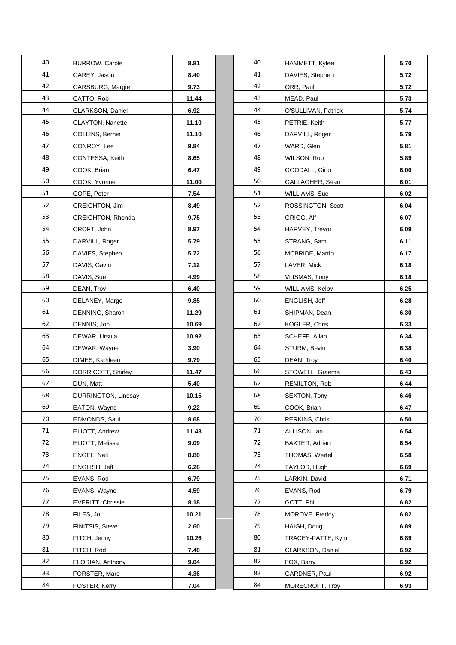| 40 | <b>BURROW, Carole</b>    | 8.81  | 40 | HAMMETT, Kylee       | 5.70 |
|----|--------------------------|-------|----|----------------------|------|
| 41 | CAREY, Jason             | 8.40  | 41 | DAVIES, Stephen      | 5.72 |
| 42 | <b>CARSBURG, Margie</b>  | 9.73  | 42 | ORR, Paul            | 5.72 |
| 43 | CATTO, Rob               | 11.44 | 43 | MEAD, Paul           | 5.73 |
| 44 | CLARKSON, Daniel         | 6.92  | 44 | O'SULLIVAN, Patrick  | 5.74 |
| 45 | CLAYTON, Nanette         | 11.10 | 45 | PETRIE, Keith        | 5.77 |
| 46 | COLLINS, Bernie          | 11.10 | 46 | DARVILL, Roger       | 5.79 |
| 47 | CONROY, Lee              | 9.84  | 47 | WARD, Glen           | 5.81 |
| 48 | CONTESSA, Keith          | 8.65  | 48 | WILSON, Rob          | 5.89 |
| 49 | COOK, Brian              | 6.47  | 49 | GOODALL, Gino        | 6.00 |
| 50 | COOK, Yvonne             | 11.00 | 50 | GALLAGHER, Sean      | 6.01 |
| 51 | COPE, Peter              | 7.54  | 51 | WILLIAMS, Sue        | 6.02 |
| 52 | CREIGHTON, Jim           | 8.49  | 52 | ROSSINGTON, Scott    | 6.04 |
| 53 | CREIGHTON, Rhonda        | 9.75  | 53 | GRIGG, Alf           | 6.07 |
| 54 | CROFT, John              | 8.97  | 54 | HARVEY, Trevor       | 6.09 |
| 55 | DARVILL, Roger           | 5.79  | 55 | STRANG, Sam          | 6.11 |
| 56 | DAVIES, Stephen          | 5.72  | 56 | MCBRIDE, Martin      | 6.17 |
| 57 | DAVIS, Gavin             | 7.12  | 57 | LAVER, Mick          | 6.18 |
| 58 | DAVIS, Sue               | 4.99  | 58 | <b>VLISMAS, Tony</b> | 6.18 |
| 59 | DEAN, Troy               | 6.40  | 59 | WILLIAMS, Kelby      | 6.25 |
| 60 | DELANEY, Marge           | 9.85  | 60 | ENGLISH, Jeff        | 6.28 |
| 61 | DENNING, Sharon          | 11.29 | 61 | SHIPMAN, Dean        | 6.30 |
| 62 | DENNIS, Jon              | 10.69 | 62 | KOGLER, Chris        | 6.33 |
| 63 | DEWAR, Ursula            | 10.92 | 63 | SCHEFE, Allan        | 6.34 |
| 64 | DEWAR, Wayne             | 3.90  | 64 | STURM, Bevin         | 6.38 |
| 65 | DIMES, Kathleen          | 9.79  | 65 | DEAN, Troy           | 6.40 |
| 66 | DORRICOTT, Shirley       | 11.47 | 66 | STOWELL, Graeme      | 6.43 |
| 67 | DUN, Matt                | 5.40  | 67 | <b>REMILTON, Rob</b> | 6.44 |
| 68 | DURRINGTON, Lindsay      | 10.15 | 68 | SEXTON, Tony         | 6.46 |
| 69 | EATON, Wayne             | 9.22  | 69 | COOK, Brian          | 6.47 |
| 70 | EDMONDS, Saul            | 8.68  | 70 | PERKINS, Chris       | 6.50 |
| 71 | ELIOTT, Andrew           | 11.43 | 71 | ALLISON, Ian         | 6.54 |
| 72 | ELIOTT, Melissa          | 9.09  | 72 | BAXTER, Adrian       | 6.54 |
| 73 | ENGEL, Neil              | 8.80  | 73 | THOMAS, Werfel       | 6.58 |
| 74 | ENGLISH, Jeff            | 6.28  | 74 | TAYLOR, Hugh         | 6.69 |
| 75 | EVANS, Rod               | 6.79  | 75 | LARKIN, David        | 6.71 |
| 76 | EVANS, Wayne             | 4.59  | 76 | EVANS, Rod           | 6.79 |
| 77 | <b>EVERITT, Chrissie</b> | 8.18  | 77 | GOTT, Phil           | 6.82 |
| 78 | FILES, Jo                | 10.21 | 78 | MOROVE, Freddy       | 6.82 |
| 79 | FINITSIS, Steve          | 2.60  | 79 | HAIGH, Doug          | 6.89 |
| 80 | FITCH, Jenny             | 10.26 | 80 | TRACEY-PATTE, Kym    | 6.89 |
| 81 | FITCH, Rod               | 7.40  | 81 | CLARKSON, Daniel     | 6.92 |
| 82 | FLORIAN, Anthony         | 9.04  | 82 | FOX, Barry           | 6.92 |
| 83 | FORSTER, Marc            | 4.36  | 83 | GARDNER, Paul        | 6.92 |
| 84 | FOSTER, Kerry            | 7.04  | 84 | MORECROFT, Troy      | 6.93 |

| 40 | <b>BURROW, Carole</b>    | 8.81  | 40 | HAMMETT, Kylee       | 5.70 |
|----|--------------------------|-------|----|----------------------|------|
| 41 | CAREY, Jason             | 8.40  | 41 | DAVIES, Stephen      | 5.72 |
| 42 | CARSBURG, Margie         | 9.73  | 42 | ORR, Paul            | 5.72 |
| 43 | CATTO, Rob               | 11.44 | 43 | MEAD, Paul           | 5.73 |
| 44 | CLARKSON, Daniel         | 6.92  | 44 | O'SULLIVAN, Patrick  | 5.74 |
| 45 | CLAYTON, Nanette         | 11.10 | 45 | PETRIE, Keith        | 5.77 |
| 46 | COLLINS, Bernie          | 11.10 | 46 | DARVILL, Roger       | 5.79 |
| 47 | CONROY, Lee              | 9.84  | 47 | WARD, Glen           | 5.81 |
| 48 | CONTESSA, Keith          | 8.65  | 48 | WILSON, Rob          | 5.89 |
| 49 | COOK, Brian              | 6.47  | 49 | GOODALL, Gino        | 6.00 |
| 50 | COOK, Yvonne             | 11.00 | 50 | GALLAGHER, Sean      | 6.01 |
| 51 | COPE, Peter              | 7.54  | 51 | WILLIAMS, Sue        | 6.02 |
| 52 | CREIGHTON, Jim           | 8.49  | 52 | ROSSINGTON, Scott    | 6.04 |
| 53 | CREIGHTON, Rhonda        | 9.75  | 53 | GRIGG, Alf           | 6.07 |
| 54 | CROFT, John              | 8.97  | 54 | HARVEY, Trevor       | 6.09 |
| 55 | DARVILL, Roger           | 5.79  | 55 | STRANG, Sam          | 6.11 |
| 56 | DAVIES, Stephen          | 5.72  | 56 | MCBRIDE, Martin      | 6.17 |
| 57 | DAVIS, Gavin             | 7.12  | 57 | LAVER, Mick          | 6.18 |
| 58 | DAVIS, Sue               | 4.99  | 58 | <b>VLISMAS, Tony</b> | 6.18 |
| 59 | DEAN, Troy               | 6.40  | 59 | WILLIAMS, Kelby      | 6.25 |
| 60 | DELANEY, Marge           | 9.85  | 60 | ENGLISH, Jeff        | 6.28 |
| 61 | DENNING, Sharon          | 11.29 | 61 | SHIPMAN, Dean        | 6.30 |
| 62 | DENNIS, Jon              | 10.69 | 62 | KOGLER, Chris        | 6.33 |
| 63 | DEWAR, Ursula            | 10.92 | 63 | SCHEFE, Allan        | 6.34 |
| 64 | DEWAR, Wayne             | 3.90  | 64 | STURM, Bevin         | 6.38 |
| 65 | DIMES, Kathleen          | 9.79  | 65 | DEAN, Troy           | 6.40 |
| 66 | DORRICOTT, Shirley       | 11.47 | 66 | STOWELL, Graeme      | 6.43 |
| 67 | DUN, Matt                | 5.40  | 67 | REMILTON, Rob        | 6.44 |
| 68 | DURRINGTON, Lindsay      | 10.15 | 68 | SEXTON, Tony         | 6.46 |
| 69 | EATON, Wayne             | 9.22  | 69 | COOK, Brian          | 6.47 |
| 70 | EDMONDS, Saul            | 8.68  | 70 | PERKINS, Chris       | 6.50 |
| 71 | ELIOTT, Andrew           | 11.43 | 71 | ALLISON, Ian         | 6.54 |
| 72 | ELIOTT, Melissa          | 9.09  | 72 | BAXTER, Adrian       | 6.54 |
| 73 | ENGEL, Neil              | 8.80  | 73 | THOMAS, Werfel       | 6.58 |
| 74 | ENGLISH, Jeff            | 6.28  | 74 | TAYLOR, Hugh         | 6.69 |
| 75 | EVANS, Rod               | 6.79  | 75 | LARKIN, David        | 6.71 |
| 76 | EVANS, Wayne             | 4.59  | 76 | EVANS, Rod           | 6.79 |
| 77 | <b>EVERITT, Chrissie</b> | 8.18  | 77 | GOTT, Phil           | 6.82 |
| 78 | FILES, Jo                | 10.21 | 78 | MOROVE, Freddy       | 6.82 |
| 79 | FINITSIS, Steve          | 2.60  | 79 | HAIGH, Doug          | 6.89 |
| 80 | FITCH, Jenny             | 10.26 | 80 | TRACEY-PATTE, Kym    | 6.89 |
| 81 | FITCH, Rod               | 7.40  | 81 | CLARKSON, Daniel     | 6.92 |
| 82 | FLORIAN, Anthony         | 9.04  | 82 | FOX, Barry           | 6.92 |
| 83 | FORSTER, Marc            | 4.36  | 83 | GARDNER, Paul        | 6.92 |
| 84 | FOSTER, Kerry            | 7.04  | 84 | MORECROFT, Troy      | 6.93 |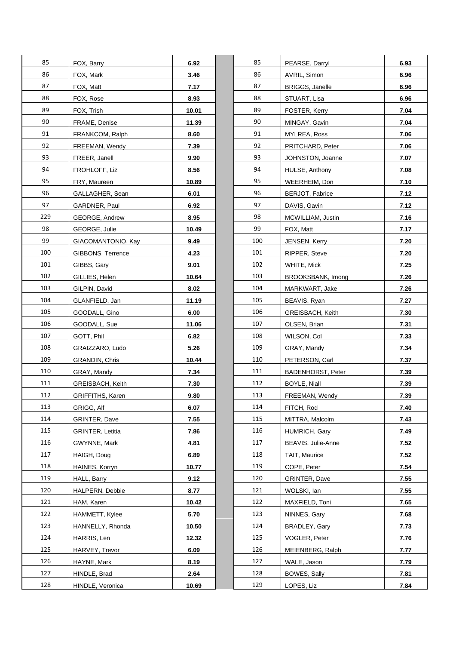| 85  | FOX, Barry              | 6.92  | 85  | PEARSE, Dar         |
|-----|-------------------------|-------|-----|---------------------|
| 86  | FOX, Mark               | 3.46  | 86  | AVRIL, Simon        |
| 87  | FOX, Matt               | 7.17  | 87  | BRIGGS, Jan         |
| 88  | FOX, Rose               | 8.93  | 88  | STUART, Lisa        |
| 89  | FOX, Trish              | 10.01 | 89  | FOSTER, Ker         |
| 90  | FRAME, Denise           | 11.39 | 90  | MINGAY, Gav         |
| 91  | FRANKCOM, Ralph         | 8.60  | 91  | MYLREA, Ros         |
| 92  | FREEMAN, Wendy          | 7.39  | 92  | PRITCHARD,          |
| 93  | FREER, Janell           | 9.90  | 93  | JOHNSTON,           |
| 94  | FROHLOFF, Liz           | 8.56  | 94  | HULSE, Antho        |
| 95  | FRY, Maureen            | 10.89 | 95  | WEERHEIM,           |
| 96  | GALLAGHER, Sean         | 6.01  | 96  | BERJOT, Fab         |
| 97  | GARDNER, Paul           | 6.92  | 97  | DAVIS, Gavin        |
| 229 | <b>GEORGE, Andrew</b>   | 8.95  | 98  | MCWILLIAM,          |
| 98  | GEORGE, Julie           | 10.49 | 99  | FOX, Matt           |
| 99  | GIACOMANTONIO, Kay      | 9.49  | 100 | JENSEN, Ker         |
| 100 | GIBBONS, Terrence       | 4.23  | 101 | RIPPER, Stev        |
| 101 | GIBBS, Gary             | 9.01  | 102 | WHITE, Mick         |
| 102 | GILLIES, Helen          | 10.64 | 103 | <b>BROOKSBAN</b>    |
| 103 | GILPIN, David           | 8.02  | 104 | MARKWART,           |
| 104 | GLANFIELD, Jan          | 11.19 | 105 | BEAVIS, Ryar        |
| 105 | GOODALL, Gino           | 6.00  | 106 | GREISBACH,          |
| 106 | GOODALL, Sue            | 11.06 | 107 | OLSEN, Brian        |
| 107 | GOTT, Phil              | 6.82  | 108 | WILSON, Col         |
| 108 | GRAIZZARO, Ludo         | 5.26  | 109 | GRAY, Mandy         |
| 109 | <b>GRANDIN, Chris</b>   | 10.44 | 110 | PETERSON,           |
| 110 | GRAY, Mandy             | 7.34  | 111 | <b>BADENHORS</b>    |
| 111 | GREISBACH, Keith        | 7.30  | 112 | BOYLE, Niall        |
| 112 | GRIFFITHS, Karen        | 9.80  | 113 | FREEMAN, W          |
| 113 | GRIGG, Alf              | 6.07  | 114 | FITCH, Rod          |
| 114 | GRINTER, Dave           | 7.55  | 115 | MITTRA, Malo        |
| 115 | <b>GRINTER, Letitia</b> | 7.86  | 116 | HUMRICH, G          |
| 116 | GWYNNE, Mark            | 4.81  | 117 | BEAVIS, Julie       |
| 117 | HAIGH, Doug             | 6.89  | 118 | TAIT, Maurice       |
| 118 | HAINES, Korryn          | 10.77 | 119 | COPE, Peter         |
| 119 | HALL, Barry             | 9.12  | 120 | GRINTER, Da         |
| 120 | HALPERN, Debbie         | 8.77  | 121 | WOLSKI, lan         |
| 121 | HAM, Karen              | 10.42 | 122 | MAXFIELD, T         |
| 122 | HAMMETT, Kylee          | 5.70  | 123 | NINNES, Gar         |
| 123 | HANNELLY, Rhonda        | 10.50 | 124 | <b>BRADLEY, Ga</b>  |
| 124 | HARRIS, Len             | 12.32 | 125 | VOGLER, Pet         |
| 125 | HARVEY, Trevor          | 6.09  | 126 | MEIENBERG,          |
| 126 | HAYNE, Mark             | 8.19  | 127 | WALE, Jason         |
| 127 | HINDLE, Brad            | 2.64  | 128 | <b>BOWES, Sally</b> |
| 128 | HINDLE, Veronica        | 10.69 | 129 | LOPES, Liz          |

| 85  | FOX, Barry              | 6.92  | 85  | PEARSE, Darryl           | 6.93 |
|-----|-------------------------|-------|-----|--------------------------|------|
| 86  | FOX, Mark               | 3.46  | 86  | AVRIL, Simon             | 6.96 |
| 87  | FOX, Matt               | 7.17  | 87  | <b>BRIGGS, Janelle</b>   | 6.96 |
| 88  | FOX, Rose               | 8.93  | 88  | STUART, Lisa             | 6.96 |
| 89  | FOX, Trish              | 10.01 | 89  | FOSTER, Kerry            | 7.04 |
| 90  | FRAME, Denise           | 11.39 | 90  | MINGAY, Gavin            | 7.04 |
| 91  | FRANKCOM, Ralph         | 8.60  | 91  | MYLREA, Ross             | 7.06 |
| 92  | FREEMAN, Wendy          | 7.39  | 92  | PRITCHARD, Peter         | 7.06 |
| 93  | FREER, Janell           | 9.90  | 93  | JOHNSTON, Joanne         | 7.07 |
| 94  | FROHLOFF, Liz           | 8.56  | 94  | HULSE, Anthony           | 7.08 |
| 95  | FRY, Maureen            | 10.89 | 95  | WEERHEIM, Don            | 7.10 |
| 96  | GALLAGHER, Sean         | 6.01  | 96  | <b>BERJOT, Fabrice</b>   | 7.12 |
| 97  | GARDNER, Paul           | 6.92  | 97  | DAVIS, Gavin             | 7.12 |
| 229 | GEORGE, Andrew          | 8.95  | 98  | MCWILLIAM, Justin        | 7.16 |
| 98  | GEORGE, Julie           | 10.49 | 99  | FOX, Matt                | 7.17 |
| 99  | GIACOMANTONIO, Kay      | 9.49  | 100 | JENSEN, Kerry            | 7.20 |
| 100 | GIBBONS, Terrence       | 4.23  | 101 | RIPPER, Steve            | 7.20 |
| 101 | GIBBS, Gary             | 9.01  | 102 | WHITE, Mick              | 7.25 |
| 102 | GILLIES, Helen          | 10.64 | 103 | BROOKSBANK, Imong        | 7.26 |
| 103 | GILPIN, David           | 8.02  | 104 | MARKWART, Jake           | 7.26 |
| 104 | GLANFIELD, Jan          | 11.19 | 105 | BEAVIS, Ryan             | 7.27 |
| 105 | GOODALL, Gino           | 6.00  | 106 | GREISBACH, Keith         | 7.30 |
| 106 | GOODALL, Sue            | 11.06 | 107 | OLSEN, Brian             | 7.31 |
| 107 | GOTT, Phil              | 6.82  | 108 | WILSON, Col              | 7.33 |
| 108 | GRAIZZARO, Ludo         | 5.26  | 109 | GRAY, Mandy              | 7.34 |
| 109 | <b>GRANDIN, Chris</b>   | 10.44 | 110 | PETERSON, Carl           | 7.37 |
| 110 | GRAY, Mandy             | 7.34  | 111 | <b>BADENHORST, Peter</b> | 7.39 |
| 111 | GREISBACH, Keith        | 7.30  | 112 | BOYLE, Niall             | 7.39 |
| 112 | GRIFFITHS, Karen        | 9.80  | 113 | FREEMAN, Wendy           | 7.39 |
| 113 | GRIGG, Alf              | 6.07  | 114 | FITCH, Rod               | 7.40 |
| 114 | GRINTER, Dave           | 7.55  | 115 | MITTRA, Malcolm          | 7.43 |
| 115 | <b>GRINTER, Letitia</b> | 7.86  | 116 | HUMRICH, Gary            | 7.49 |
| 116 | GWYNNE, Mark            | 4.81  | 117 | BEAVIS, Julie-Anne       | 7.52 |
| 117 | HAIGH, Doug             | 6.89  | 118 | TAIT, Maurice            | 7.52 |
| 118 | HAINES, Korryn          | 10.77 | 119 | COPE, Peter              | 7.54 |
| 119 | HALL, Barry             | 9.12  | 120 | GRINTER, Dave            | 7.55 |
| 120 | HALPERN, Debbie         | 8.77  | 121 | WOLSKI, lan              | 7.55 |
| 121 | HAM, Karen              | 10.42 | 122 | MAXFIELD, Toni           | 7.65 |
| 122 | HAMMETT, Kylee          | 5.70  | 123 | NINNES, Gary             | 7.68 |
| 123 | HANNELLY, Rhonda        | 10.50 | 124 | BRADLEY, Gary            | 7.73 |
| 124 | HARRIS, Len             | 12.32 | 125 | VOGLER, Peter            | 7.76 |
| 125 | HARVEY, Trevor          | 6.09  | 126 | MEIENBERG, Ralph         | 7.77 |
| 126 | HAYNE, Mark             | 8.19  | 127 | WALE, Jason              | 7.79 |
| 127 | HINDLE, Brad            | 2.64  | 128 | BOWES, Sally             | 7.81 |
| 128 | HINDLE, Veronica        | 10.69 | 129 | LOPES, Liz               | 7.84 |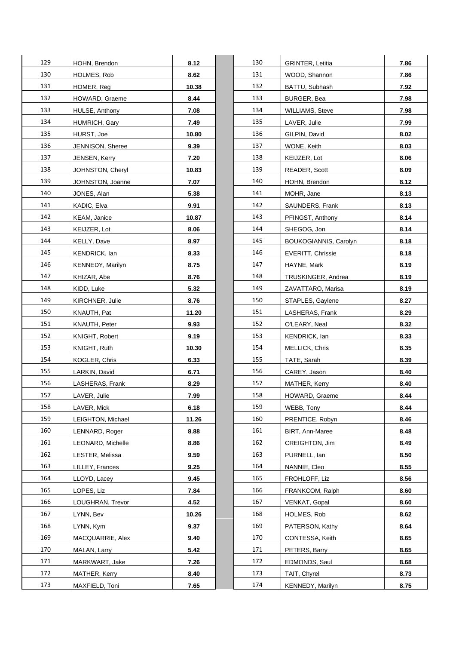| 129 | HOHN, Brendon            | 8.12  | 130 | <b>GRINTER, Letitia</b> | 7.86 |
|-----|--------------------------|-------|-----|-------------------------|------|
| 130 | HOLMES, Rob              | 8.62  | 131 | WOOD, Shannon           | 7.86 |
| 131 | HOMER, Reg               | 10.38 | 132 | BATTU, Subhash          | 7.92 |
| 132 | HOWARD, Graeme           | 8.44  | 133 | BURGER, Bea             | 7.98 |
| 133 | HULSE, Anthony           | 7.08  | 134 |                         |      |
| 134 |                          | 7.49  | 135 | <b>WILLIAMS, Steve</b>  | 7.98 |
|     | HUMRICH, Gary            |       |     | LAVER, Julie            | 7.99 |
| 135 | HURST, Joe               | 10.80 | 136 | GILPIN, David           | 8.02 |
| 136 | JENNISON, Sheree         | 9.39  | 137 | WONE, Keith             | 8.03 |
| 137 | JENSEN, Kerry            | 7.20  | 138 | KEIJZER, Lot            | 8.06 |
| 138 | JOHNSTON, Cheryl         | 10.83 | 139 | <b>READER, Scott</b>    | 8.09 |
| 139 | JOHNSTON, Joanne         | 7.07  | 140 | HOHN, Brendon           | 8.12 |
| 140 | JONES, Alan              | 5.38  | 141 | MOHR, Jane              | 8.13 |
| 141 | KADIC, Elva              | 9.91  | 142 | SAUNDERS, Frank         | 8.13 |
| 142 | KEAM, Janice             | 10.87 | 143 | PFINGST, Anthony        | 8.14 |
| 143 | KEIJZER, Lot             | 8.06  | 144 | SHEGOG, Jon             | 8.14 |
| 144 | KELLY, Dave              | 8.97  | 145 | BOUKOGIANNIS, Carolyn   | 8.18 |
| 145 | KENDRICK, lan            | 8.33  | 146 | EVERITT, Chrissie       | 8.18 |
| 146 | KENNEDY, Marilyn         | 8.75  | 147 | HAYNE, Mark             | 8.19 |
| 147 | KHIZAR, Abe              | 8.76  | 148 | TRUSKINGER, Andrea      | 8.19 |
| 148 | KIDD, Luke               | 5.32  | 149 | ZAVATTARO, Marisa       | 8.19 |
| 149 | KIRCHNER, Julie          | 8.76  | 150 | STAPLES, Gaylene        | 8.27 |
| 150 | KNAUTH, Pat              | 11.20 | 151 | LASHERAS, Frank         | 8.29 |
| 151 | KNAUTH, Peter            | 9.93  | 152 | O'LEARY, Neal           | 8.32 |
| 152 | KNIGHT, Robert           | 9.19  | 153 | KENDRICK, lan           | 8.33 |
| 153 | KNIGHT, Ruth             | 10.30 | 154 | MELLICK, Chris          | 8.35 |
| 154 | KOGLER, Chris            | 6.33  | 155 | TATE, Sarah             | 8.39 |
| 155 | LARKIN, David            | 6.71  | 156 | CAREY, Jason            | 8.40 |
| 156 | LASHERAS, Frank          | 8.29  | 157 | MATHER, Kerry           | 8.40 |
| 157 | LAVER, Julie             | 7.99  | 158 | HOWARD, Graeme          | 8.44 |
| 158 | LAVER, Mick              | 6.18  | 159 | WEBB, Tony              | 8.44 |
| 159 | LEIGHTON, Michael        | 11.26 | 160 | PRENTICE, Robyn         | 8.46 |
| 160 | LENNARD, Roger           | 8.88  | 161 | BIRT, Ann-Maree         | 8.48 |
| 161 | <b>LEONARD. Michelle</b> | 8.86  | 162 | CREIGHTON, Jim          | 8.49 |
| 162 | LESTER, Melissa          | 9.59  | 163 | PURNELL, lan            | 8.50 |
| 163 | LILLEY, Frances          | 9.25  | 164 | NANNIE, Cleo            | 8.55 |
| 164 | LLOYD, Lacey             | 9.45  | 165 | FROHLOFF, Liz           | 8.56 |
| 165 | LOPES, Liz               | 7.84  | 166 | FRANKCOM, Ralph         | 8.60 |
| 166 | LOUGHRAN, Trevor         | 4.52  | 167 | VENKAT, Gopal           | 8.60 |
| 167 | LYNN, Bev                | 10.26 | 168 | HOLMES, Rob             | 8.62 |
| 168 | LYNN, Kym                | 9.37  | 169 | PATERSON, Kathy         | 8.64 |
| 169 | MACQUARRIE, Alex         | 9.40  | 170 | CONTESSA, Keith         | 8.65 |
| 170 | MALAN, Larry             | 5.42  | 171 | PETERS, Barry           | 8.65 |
| 171 |                          |       | 172 |                         |      |
| 172 | MARKWART, Jake           | 7.26  | 173 | EDMONDS, Saul           | 8.68 |
|     | MATHER, Kerry            | 8.40  |     | TAIT, Chyrel            | 8.73 |
| 173 | MAXFIELD, Toni           | 7.65  | 174 | KENNEDY, Marilyn        | 8.75 |

| 130 | <b>GRINTER, Letitia</b>  | 7.86 |
|-----|--------------------------|------|
| 131 | WOOD, Shannon            | 7.86 |
| 132 | BATTU, Subhash           | 7.92 |
| 133 | BURGER, Bea              | 7.98 |
| 134 | WILLIAMS, Steve          | 7.98 |
| 135 | LAVER, Julie             | 7.99 |
| 136 | GILPIN, David            | 8.02 |
| 137 | WONE, Keith              | 8.03 |
| 138 | KEIJZER, Lot             | 8.06 |
| 139 | READER, Scott            | 8.09 |
| 140 | HOHN, Brendon            | 8.12 |
| 141 | MOHR, Jane               | 8.13 |
| 142 | SAUNDERS, Frank          | 8.13 |
| 143 | PFINGST, Anthony         | 8.14 |
| 144 | SHEGOG, Jon              | 8.14 |
| 145 | BOUKOGIANNIS, Carolyn    | 8.18 |
| 146 | <b>EVERITT, Chrissie</b> | 8.18 |
| 147 | HAYNE, Mark              | 8.19 |
| 148 | TRUSKINGER, Andrea       | 8.19 |
| 149 | ZAVATTARO, Marisa        | 8.19 |
| 150 | STAPLES, Gaylene         | 8.27 |
| 151 | LASHERAS, Frank          | 8.29 |
| 152 | O'LEARY, Neal            | 8.32 |
| 153 | KENDRICK, lan            | 8.33 |
| 154 | MELLICK, Chris           | 8.35 |
| 155 | TATE, Sarah              | 8.39 |
| 156 | CAREY, Jason             | 8.40 |
| 157 | MATHER, Kerry            | 8.40 |
| 158 | HOWARD, Graeme           | 8.44 |
| 159 | WEBB, Tony               | 8.44 |
| 160 | PRENTICE, Robyn          | 8.46 |
| 161 | BIRT, Ann-Maree          | 8.48 |
| 162 | CREIGHTON, Jim           | 8.49 |
| 163 | PURNELL, lan             | 8.50 |
| 164 | NANNIE, Cleo             | 8.55 |
| 165 | FROHLOFF, Liz            | 8.56 |
| 166 | FRANKCOM, Ralph          | 8.60 |
| 167 | VENKAT, Gopal            | 8.60 |
| 168 | HOLMES, Rob              | 8.62 |
| 169 | PATERSON, Kathy          | 8.64 |
| 170 | CONTESSA, Keith          | 8.65 |
| 171 | PETERS, Barry            | 8.65 |
| 172 | EDMONDS, Saul            | 8.68 |
| 173 | TAIT, Chyrel             | 8.73 |
| 174 | KENNEDY, Marilyn         | 8.75 |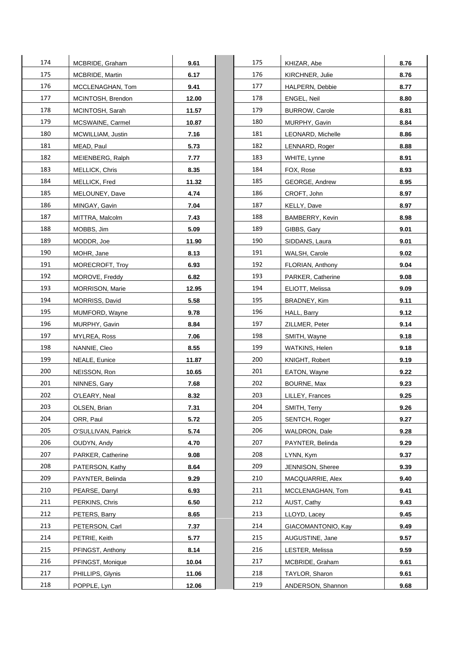| 174 | MCBRIDE, Graham        | 9.61  | 175 | KHIZAR, Abe           | 8.76 |
|-----|------------------------|-------|-----|-----------------------|------|
| 175 | <b>MCBRIDE, Martin</b> | 6.17  | 176 | KIRCHNER, Julie       | 8.76 |
| 176 | MCCLENAGHAN, Tom       | 9.41  | 177 | HALPERN, Debbie       | 8.77 |
| 177 | MCINTOSH, Brendon      | 12.00 | 178 | ENGEL, Neil           | 8.80 |
| 178 | MCINTOSH, Sarah        | 11.57 | 179 | <b>BURROW, Carole</b> | 8.81 |
| 179 | MCSWAINE, Carmel       | 10.87 | 180 | MURPHY, Gavin         | 8.84 |
| 180 | MCWILLIAM, Justin      | 7.16  | 181 | LEONARD, Michelle     | 8.86 |
| 181 | MEAD, Paul             | 5.73  | 182 | LENNARD, Roger        | 8.88 |
| 182 | MEIENBERG, Ralph       | 7.77  | 183 | WHITE, Lynne          | 8.91 |
| 183 | MELLICK, Chris         | 8.35  | 184 | FOX, Rose             | 8.93 |
| 184 | MELLICK, Fred          | 11.32 | 185 | GEORGE, Andrew        | 8.95 |
| 185 | MELOUNEY, Dave         | 4.74  | 186 | CROFT, John           | 8.97 |
| 186 | MINGAY, Gavin          | 7.04  | 187 | KELLY, Dave           | 8.97 |
| 187 | MITTRA, Malcolm        | 7.43  | 188 | BAMBERRY, Kevin       | 8.98 |
| 188 | MOBBS, Jim             | 5.09  | 189 | GIBBS, Gary           | 9.01 |
| 189 | MODDR, Joe             | 11.90 | 190 | SIDDANS, Laura        | 9.01 |
| 190 | MOHR, Jane             | 8.13  | 191 | WALSH, Carole         | 9.02 |
| 191 | MORECROFT, Troy        | 6.93  | 192 | FLORIAN, Anthony      | 9.04 |
| 192 | MOROVE, Freddy         | 6.82  | 193 | PARKER, Catherine     | 9.08 |
| 193 | <b>MORRISON, Marie</b> | 12.95 | 194 | ELIOTT, Melissa       | 9.09 |
| 194 | MORRISS, David         | 5.58  | 195 | BRADNEY, Kim          | 9.11 |
| 195 | MUMFORD, Wayne         | 9.78  | 196 | HALL, Barry           | 9.12 |
| 196 | MURPHY, Gavin          | 8.84  | 197 | ZILLMER, Peter        | 9.14 |
| 197 | MYLREA, Ross           | 7.06  | 198 | SMITH, Wayne          | 9.18 |
| 198 | NANNIE, Cleo           | 8.55  | 199 | WATKINS, Helen        | 9.18 |
| 199 | NEALE, Eunice          | 11.87 | 200 | KNIGHT, Robert        | 9.19 |
| 200 | NEISSON, Ron           | 10.65 | 201 | EATON, Wayne          | 9.22 |
| 201 | NINNES, Gary           | 7.68  | 202 | BOURNE, Max           | 9.23 |
| 202 | O'LEARY, Neal          | 8.32  | 203 | LILLEY, Frances       | 9.25 |
| 203 | OLSEN, Brian           | 7.31  | 204 | SMITH, Terry          | 9.26 |
| 204 | ORR, Paul              | 5.72  | 205 | SENTCH, Roger         | 9.27 |
| 205 | O'SULLIVAN, Patrick    | 5.74  | 206 | WALDRON, Dale         | 9.28 |
| 206 | OUDYN, Andy            | 4.70  | 207 | PAYNTER, Belinda      | 9.29 |
| 207 | PARKER, Catherine      | 9.08  | 208 | LYNN, Kym             | 9.37 |
| 208 | PATERSON, Kathy        | 8.64  | 209 | JENNISON, Sheree      | 9.39 |
| 209 | PAYNTER, Belinda       | 9.29  | 210 | MACQUARRIE, Alex      | 9.40 |
| 210 | PEARSE, Darryl         | 6.93  | 211 | MCCLENAGHAN, Tom      | 9.41 |
| 211 | PERKINS, Chris         | 6.50  | 212 | AUST, Cathy           | 9.43 |
| 212 | PETERS, Barry          | 8.65  | 213 | LLOYD, Lacey          | 9.45 |
| 213 | PETERSON, Carl         | 7.37  | 214 | GIACOMANTONIO, Kay    | 9.49 |
| 214 | PETRIE, Keith          | 5.77  | 215 | AUGUSTINE, Jane       | 9.57 |
| 215 | PFINGST, Anthony       | 8.14  | 216 | LESTER, Melissa       | 9.59 |
| 216 | PFINGST, Monique       | 10.04 | 217 | MCBRIDE, Graham       | 9.61 |
| 217 | PHILLIPS, Glynis       | 11.06 | 218 | TAYLOR, Sharon        | 9.61 |
| 218 | POPPLE, Lyn            | 12.06 | 219 | ANDERSON, Shannon     | 9.68 |

| 175 | KHIZAR, Abe           | 8.76 |
|-----|-----------------------|------|
| 176 | KIRCHNER, Julie       | 8.76 |
| 177 | HALPERN, Debbie       | 8.77 |
| 178 | ENGEL, Neil           | 8.80 |
| 179 | <b>BURROW, Carole</b> | 8.81 |
| 180 | MURPHY, Gavin         | 8.84 |
| 181 | LEONARD, Michelle     | 8.86 |
| 182 | LENNARD, Roger        | 8.88 |
| 183 | WHITE, Lynne          | 8.91 |
| 184 | FOX, Rose             | 8.93 |
| 185 | <b>GEORGE, Andrew</b> | 8.95 |
| 186 | CROFT, John           | 8.97 |
| 187 | KELLY, Dave           | 8.97 |
| 188 | BAMBERRY, Kevin       | 8.98 |
| 189 | GIBBS, Gary           | 9.01 |
| 190 | SIDDANS, Laura        | 9.01 |
| 191 | WALSH, Carole         | 9.02 |
| 192 | FLORIAN, Anthony      | 9.04 |
| 193 | PARKER, Catherine     | 9.08 |
| 194 | ELIOTT, Melissa       | 9.09 |
| 195 | BRADNEY, Kim          | 9.11 |
| 196 | HALL, Barry           | 9.12 |
| 197 | ZILLMER, Peter        | 9.14 |
| 198 | SMITH, Wayne          | 9.18 |
| 199 | WATKINS, Helen        | 9.18 |
| 200 | KNIGHT, Robert        | 9.19 |
| 201 | EATON, Wayne          | 9.22 |
| 202 | BOURNE, Max           | 9.23 |
| 203 | LILLEY, Frances       | 9.25 |
| 204 | SMITH, Terry          | 9.26 |
| 205 | SENTCH, Roger         | 9.27 |
| 206 | WALDRON, Dale         | 9.28 |
| 207 | PAYNTER, Belinda      | 9.29 |
| 208 | LYNN, Kym             | 9.37 |
| 209 | JENNISON, Sheree      | 9.39 |
| 210 | MACQUARRIE, Alex      | 9.40 |
| 211 | MCCLENAGHAN, Tom      | 9.41 |
| 212 | AUST, Cathy           | 9.43 |
| 213 | LLOYD, Lacey          | 9.45 |
| 214 | GIACOMANTONIO, Kay    | 9.49 |
| 215 | AUGUSTINE, Jane       | 9.57 |
| 216 | LESTER, Melissa       | 9.59 |
| 217 | MCBRIDE, Graham       | 9.61 |
| 218 | TAYLOR, Sharon        | 9.61 |
| 219 | ANDERSON, Shannon     | 9.68 |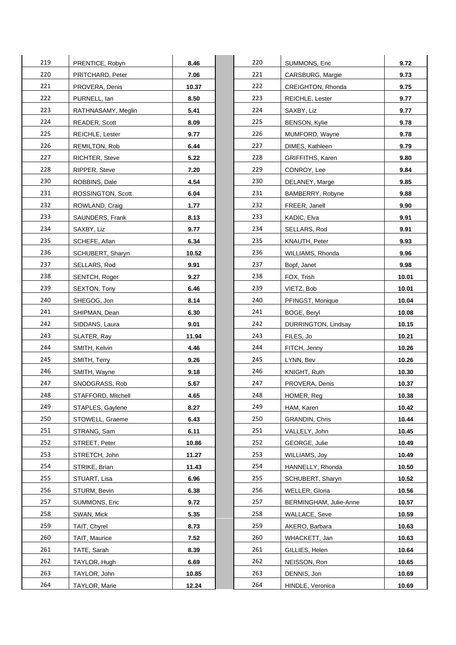| 219<br>220<br>221 | PRENTICE, Robyn      | 8.46  | 220 |                         |       |
|-------------------|----------------------|-------|-----|-------------------------|-------|
|                   |                      |       |     | SUMMONS, Eric           | 9.72  |
|                   | PRITCHARD, Peter     | 7.06  | 221 | CARSBURG, Margie        | 9.73  |
|                   | PROVERA, Denis       | 10.37 | 222 | CREIGHTON, Rhonda       | 9.75  |
| 222               | PURNELL, lan         | 8.50  | 223 | REICHLE, Lester         | 9.77  |
| 223               | RATHNASAMY, Meglin   | 5.41  | 224 | SAXBY, Liz              | 9.77  |
| 224               | READER, Scott        | 8.09  | 225 | <b>BENSON, Kylie</b>    | 9.78  |
| 225               | REICHLE, Lester      | 9.77  | 226 | MUMFORD, Wayne          | 9.78  |
| 226               | <b>REMILTON, Rob</b> | 6.44  | 227 | DIMES, Kathleen         | 9.79  |
| 227               | RICHTER, Steve       | 5.22  | 228 | <b>GRIFFITHS, Karen</b> | 9.80  |
| 228               | RIPPER, Steve        | 7.20  | 229 | CONROY, Lee             | 9.84  |
| 230               | ROBBINS, Dale        | 4.54  | 230 | DELANEY, Marge          | 9.85  |
| 231               | ROSSINGTON, Scott    | 6.04  | 231 | BAMBERRY, Robyne        | 9.88  |
| 232               | ROWLAND, Craig       | 1.77  | 232 | FREER, Janell           | 9.90  |
| 233               | SAUNDERS, Frank      | 8.13  | 233 | KADIC, Elva             | 9.91  |
| 234               | SAXBY, Liz           | 9.77  | 234 | SELLARS, Rod            | 9.91  |
| 235               | SCHEFE, Allan        | 6.34  | 235 | KNAUTH, Peter           | 9.93  |
| 236               | SCHUBERT, Sharyn     | 10.52 | 236 | WILLIAMS, Rhonda        | 9.96  |
| 237               | SELLARS, Rod         | 9.91  | 237 | Bopf, Janet             | 9.98  |
| 238               | SENTCH, Roger        | 9.27  | 238 | FOX, Trish              | 10.01 |
| 239               | SEXTON, Tony         | 6.46  | 239 | VIETZ, Bob              | 10.01 |
| 240               | SHEGOG, Jon          | 8.14  | 240 | PFINGST, Monique        | 10.04 |
| 241               | SHIPMAN, Dean        | 6.30  | 241 | BOGE, Beryl             | 10.08 |
| 242               | SIDDANS, Laura       | 9.01  | 242 | DURRINGTON, Lindsay     | 10.15 |
| 243               | SLATER, Ray          | 11.94 | 243 | FILES, Jo               | 10.21 |
| 244               | SMITH, Kelvin        | 4.46  | 244 | FITCH, Jenny            | 10.26 |
| 245               | SMITH, Terry         | 9.26  | 245 | LYNN, Bev               | 10.26 |
| 246               | SMITH, Wayne         | 9.18  | 246 | KNIGHT, Ruth            | 10.30 |
| 247               | SNODGRASS, Rob       | 5.67  | 247 | PROVERA, Denis          | 10.37 |
| 248               | STAFFORD, Mitchell   | 4.65  | 248 | HOMER, Req              | 10.38 |
| 249               | STAPLES, Gaylene     | 8.27  | 249 | HAM, Karen              | 10.42 |
| 250               | STOWELL, Graeme      | 6.43  | 250 | GRANDIN, Chris          | 10.44 |
| 251               | STRANG, Sam          | 6.11  | 251 | VALLELY, John           | 10.45 |
| 252               | STREET, Peter        | 10.86 | 252 | GEORGE, Julie           | 10.49 |
| 253               | STRETCH, John        | 11.27 | 253 | WILLIAMS, Joy           | 10.49 |
| 254               | STRIKE, Brian        | 11.43 | 254 | HANNELLY, Rhonda        | 10.50 |
| 255               | STUART, Lisa         | 6.96  | 255 | SCHUBERT, Sharyn        | 10.52 |
| 256               | STURM, Bevin         | 6.38  | 256 | WELLER, Gloria          | 10.56 |
| 257               | SUMMONS, Eric        | 9.72  | 257 | BERMINGHAM, Julie-Anne  | 10.57 |
| 258               | SWAN, Mick           | 5.35  | 258 | WALLACE, Seve           | 10.59 |
| 259               |                      |       | 259 |                         |       |
| 260               | TAIT, Chyrel         | 8.73  | 260 | AKERO, Barbara          | 10.63 |
| 261               | TAIT, Maurice        | 7.52  | 261 | WHACKETT, Jan           | 10.63 |
|                   | TATE, Sarah          | 8.39  |     | GILLIES, Helen          | 10.64 |
| 262<br>263        | TAYLOR, Hugh         | 6.69  | 262 | NEISSON, Ron            | 10.65 |
|                   | TAYLOR, John         | 10.85 | 263 | DENNIS, Jon             | 10.69 |

| 220 | SUMMONS, Eric          | 9.72  |
|-----|------------------------|-------|
| 221 | CARSBURG, Margie       | 9.73  |
| 222 | CREIGHTON, Rhonda      | 9.75  |
| 223 | REICHLE, Lester        | 9.77  |
| 224 | SAXBY, Liz             | 9.77  |
| 225 | <b>BENSON, Kylie</b>   | 9.78  |
| 226 | MUMFORD, Wayne         | 9.78  |
| 227 | DIMES, Kathleen        | 9.79  |
| 228 | GRIFFITHS, Karen       | 9.80  |
| 229 | CONROY, Lee            | 9.84  |
| 230 | DELANEY, Marge         | 9.85  |
| 231 | BAMBERRY, Robyne       | 9.88  |
| 232 | FREER, Janell          | 9.90  |
| 233 | KADIC, Elva            | 9.91  |
| 234 | SELLARS, Rod           | 9.91  |
| 235 | KNAUTH, Peter          | 9.93  |
| 236 | WILLIAMS, Rhonda       | 9.96  |
| 237 | Bopf, Janet            | 9.98  |
| 238 | FOX, Trish             | 10.01 |
| 239 | VIETZ, Bob             | 10.01 |
| 240 | PFINGST, Monique       | 10.04 |
| 241 | BOGE, Beryl            | 10.08 |
| 242 | DURRINGTON, Lindsay    | 10.15 |
| 243 | FILES, Jo              | 10.21 |
| 244 | FITCH, Jenny           | 10.26 |
| 245 | LYNN, Bev              | 10.26 |
| 246 | KNIGHT, Ruth           | 10.30 |
| 247 | PROVERA, Denis         | 10.37 |
| 248 | HOMER, Reg             | 10.38 |
| 249 | HAM, Karen             | 10.42 |
| 250 | <b>GRANDIN, Chris</b>  | 10.44 |
| 251 | VALLELY, John          | 10.45 |
| 252 | GEORGE, Julie          | 10.49 |
| 253 | WILLIAMS, Joy          | 10.49 |
| 254 | HANNELLY, Rhonda       | 10.50 |
| 255 | SCHUBERT, Sharyn       | 10.52 |
| 256 | <b>WELLER, Gloria</b>  | 10.56 |
| 257 | BERMINGHAM, Julie-Anne | 10.57 |
| 258 | WALLACE, Seve          | 10.59 |
| 259 | AKERO, Barbara         | 10.63 |
| 260 | WHACKETT, Jan          | 10.63 |
| 261 | GILLIES, Helen         | 10.64 |
| 262 | NEISSON, Ron           | 10.65 |
| 263 | DENNIS, Jon            | 10.69 |
| 264 | HINDLE, Veronica       | 10.69 |